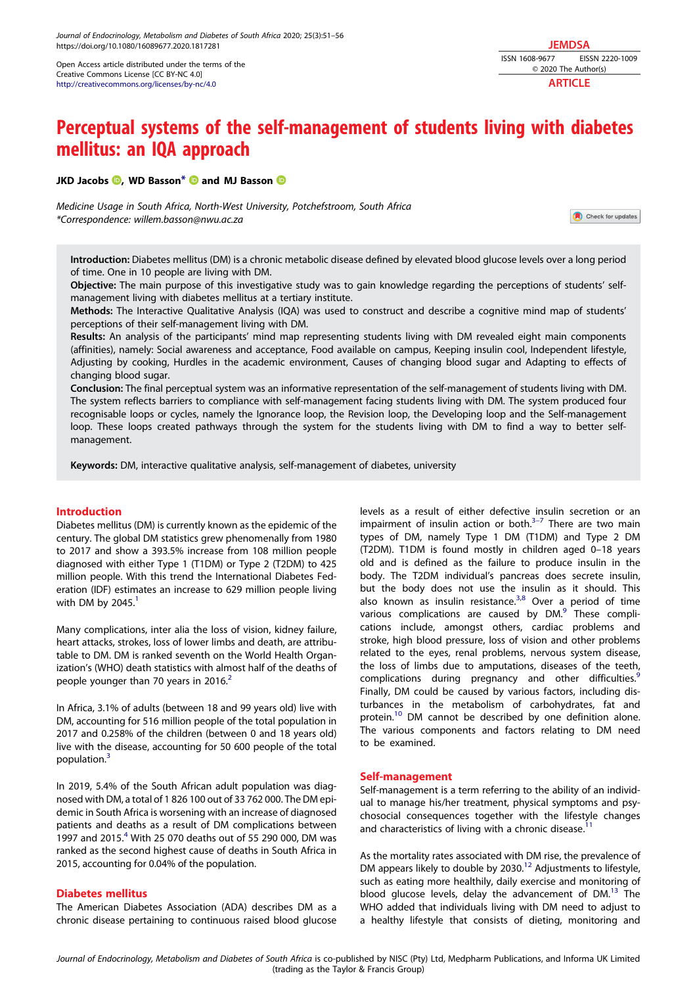Open Access article distributed under the terms of the Creative Commons License [CC BY-NC 4.0] http://creativecommons.org/licenses/by-nc/4.0

**JEMDSA** ISSN 1608-9677 EISSN 2220-1009 © 2020 The Author(s) ARTICLE

# Perceptual systems of the self-management of students living with diabetes mellitus: an IQA approach

JKD Jacobs **D**, WD Basson<sup>\*</sup> **D** and MJ Basson **D** 

Medicine Usage in South Africa, North-West University, Potchefstroom, South Africa \*Correspondence: willem.basson@nwu.ac.za

Check for updates

Introduction: Diabetes mellitus (DM) is a chronic metabolic disease defined by elevated blood glucose levels over a long period of time. One in 10 people are living with DM.

Objective: The main purpose of this investigative study was to gain knowledge regarding the perceptions of students' selfmanagement living with diabetes mellitus at a tertiary institute.

Methods: The Interactive Qualitative Analysis (IQA) was used to construct and describe a cognitive mind map of students' perceptions of their self-management living with DM.

Results: An analysis of the participants' mind map representing students living with DM revealed eight main components (affinities), namely: Social awareness and acceptance, Food available on campus, Keeping insulin cool, Independent lifestyle, Adjusting by cooking, Hurdles in the academic environment, Causes of changing blood sugar and Adapting to effects of changing blood sugar.

Conclusion: The final perceptual system was an informative representation of the self-management of students living with DM. The system reflects barriers to compliance with self-management facing students living with DM. The system produced four recognisable loops or cycles, namely the Ignorance loop, the Revision loop, the Developing loop and the Self-management loop. These loops created pathways through the system for the students living with DM to find a way to better selfmanagement.

Keywords: DM, interactive qualitative analysis, self-management of diabetes, university

## Introduction

Diabetes mellitus (DM) is currently known as the epidemic of the century. The global DM statistics grew phenomenally from 1980 to 2017 and show a 393.5% increase from 108 million people diagnosed with either Type 1 (T1DM) or Type 2 (T2DM) to 425 million people. With this trend the International Diabetes Federation (IDF) estimates an increase to 629 million people living with DM by  $2045.<sup>1</sup>$ 

Many complications, inter alia the loss of vision, kidney failure, heart attacks, strokes, loss of lower limbs and death, are attributable to DM. DM is ranked seventh on the World Health Organization's (WHO) death statistics with almost half of the deaths of people younger than 70 years in 2016.<sup>2</sup>

In Africa, 3.1% of adults (between 18 and 99 years old) live with DM, accounting for 516 million people of the total population in 2017 and 0.258% of the children (between 0 and 18 years old) live with the disease, accounting for 50 600 people of the total population.<sup>3</sup>

In 2019, 5.4% of the South African adult population was diagnosed with DM, a total of 1 826 100 out of 33 762 000. The DM epidemic in South Africa is worsening with an increase of diagnosed patients and deaths as a result of DM complications between 1997 and 2015.<sup>4</sup> With 25 070 deaths out of 55 290 000, DM was ranked as the second highest cause of deaths in South Africa in 2015, accounting for 0.04% of the population.

## Diabetes mellitus

The American Diabetes Association (ADA) describes DM as a chronic disease pertaining to continuous raised blood glucose

levels as a result of either defective insulin secretion or an impairment of insulin action or both. $3-7$  There are two main types of DM, namely Type 1 DM (T1DM) and Type 2 DM (T2DM). T1DM is found mostly in children aged 0–18 years old and is defined as the failure to produce insulin in the body. The T2DM individual's pancreas does secrete insulin, but the body does not use the insulin as it should. This also known as insulin resistance.<sup>3,8</sup> Over a period of time various complications are caused by DM.<sup>9</sup> These complications include, amongst others, cardiac problems and stroke, high blood pressure, loss of vision and other problems related to the eyes, renal problems, nervous system disease, the loss of limbs due to amputations, diseases of the teeth, complications during pregnancy and other difficulties.<sup>9</sup> Finally, DM could be caused by various factors, including disturbances in the metabolism of carbohydrates, fat and protein.<sup>10</sup> DM cannot be described by one definition alone. The various components and factors relating to DM need to be examined.

## Self-management

Self-management is a term referring to the ability of an individual to manage his/her treatment, physical symptoms and psychosocial consequences together with the lifestyle changes and characteristics of living with a chronic disease.<sup>1</sup>

As the mortality rates associated with DM rise, the prevalence of DM appears likely to double by 2030.<sup>12</sup> Adjustments to lifestyle, such as eating more healthily, daily exercise and monitoring of blood glucose levels, delay the advancement of  $DM<sup>13</sup>$  The WHO added that individuals living with DM need to adjust to a healthy lifestyle that consists of dieting, monitoring and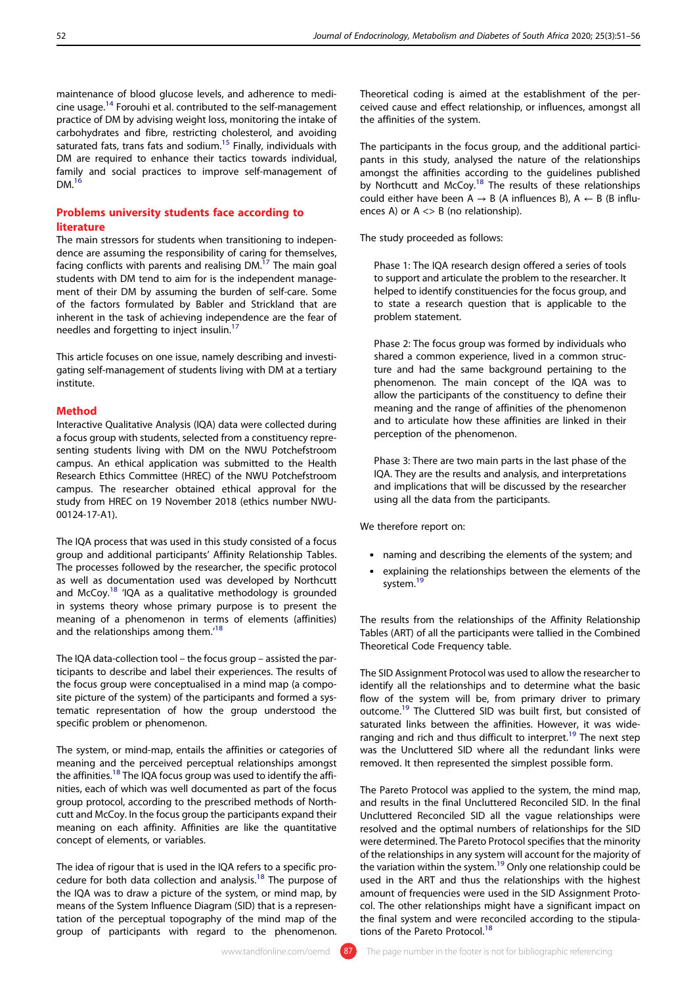maintenance of blood glucose levels, and adherence to medicine usage.<sup>14</sup> Forouhi et al. contributed to the self-management practice of DM by advising weight loss, monitoring the intake of carbohydrates and fibre, restricting cholesterol, and avoiding saturated fats, trans fats and sodium.<sup>15</sup> Finally, individuals with DM are required to enhance their tactics towards individual, family and social practices to improve self-management of DM.<sup>16</sup>

# Problems university students face according to literature

The main stressors for students when transitioning to independence are assuming the responsibility of caring for themselves, facing conflicts with parents and realising  $DM<sup>17</sup>$  The main goal students with DM tend to aim for is the independent management of their DM by assuming the burden of self-care. Some of the factors formulated by Babler and Strickland that are inherent in the task of achieving independence are the fear of needles and forgetting to inject insulin.<sup>17</sup>

This article focuses on one issue, namely describing and investigating self-management of students living with DM at a tertiary institute.

## Method

Interactive Qualitative Analysis (IQA) data were collected during a focus group with students, selected from a constituency representing students living with DM on the NWU Potchefstroom campus. An ethical application was submitted to the Health Research Ethics Committee (HREC) of the NWU Potchefstroom campus. The researcher obtained ethical approval for the study from HREC on 19 November 2018 (ethics number NWU-00124-17-A1).

The IQA process that was used in this study consisted of a focus group and additional participants' Affinity Relationship Tables. The processes followed by the researcher, the specific protocol as well as documentation used was developed by Northcutt and McCoy.<sup>18</sup> 'IQA as a qualitative methodology is grounded in systems theory whose primary purpose is to present the meaning of a phenomenon in terms of elements (affinities) and the relationships among them.<sup>18</sup>

The IQA data-collection tool – the focus group – assisted the participants to describe and label their experiences. The results of the focus group were conceptualised in a mind map (a composite picture of the system) of the participants and formed a systematic representation of how the group understood the specific problem or phenomenon.

The system, or mind-map, entails the affinities or categories of meaning and the perceived perceptual relationships amongst the affinities.<sup>18</sup> The IQA focus group was used to identify the affinities, each of which was well documented as part of the focus group protocol, according to the prescribed methods of Northcutt and McCoy. In the focus group the participants expand their meaning on each affinity. Affinities are like the quantitative concept of elements, or variables.

The idea of rigour that is used in the IQA refers to a specific procedure for both data collection and analysis.<sup>18</sup> The purpose of the IQA was to draw a picture of the system, or mind map, by means of the System Influence Diagram (SID) that is a representation of the perceptual topography of the mind map of the group of participants with regard to the phenomenon.

Theoretical coding is aimed at the establishment of the perceived cause and effect relationship, or influences, amongst all the affinities of the system.

The participants in the focus group, and the additional participants in this study, analysed the nature of the relationships amongst the affinities according to the guidelines published by Northcutt and McCoy.<sup>18</sup> The results of these relationships could either have been  $A \rightarrow B$  (A influences B),  $A \leftarrow B$  (B influences A) or  $A \leq B$  (no relationship).

The study proceeded as follows:

Phase 1: The IQA research design offered a series of tools to support and articulate the problem to the researcher. It helped to identify constituencies for the focus group, and to state a research question that is applicable to the problem statement.

Phase 2: The focus group was formed by individuals who shared a common experience, lived in a common structure and had the same background pertaining to the phenomenon. The main concept of the IQA was to allow the participants of the constituency to define their meaning and the range of affinities of the phenomenon and to articulate how these affinities are linked in their perception of the phenomenon.

Phase 3: There are two main parts in the last phase of the IQA. They are the results and analysis, and interpretations and implications that will be discussed by the researcher using all the data from the participants.

We therefore report on:

- . naming and describing the elements of the system; and
- . explaining the relationships between the elements of the system.<sup>19</sup>

The results from the relationships of the Affinity Relationship Tables (ART) of all the participants were tallied in the Combined Theoretical Code Frequency table.

The SID Assignment Protocol was used to allow the researcher to identify all the relationships and to determine what the basic flow of the system will be, from primary driver to primary outcome.<sup>19</sup> The Cluttered SID was built first, but consisted of saturated links between the affinities. However, it was wideranging and rich and thus difficult to interpret.<sup>19</sup> The next step was the Uncluttered SID where all the redundant links were removed. It then represented the simplest possible form.

The Pareto Protocol was applied to the system, the mind map, and results in the final Uncluttered Reconciled SID. In the final Uncluttered Reconciled SID all the vague relationships were resolved and the optimal numbers of relationships for the SID were determined. The Pareto Protocol specifies that the minority of the relationships in any system will account for the majority of the variation within the system.<sup>19</sup> Only one relationship could be used in the ART and thus the relationships with the highest amount of frequencies were used in the SID Assignment Protocol. The other relationships might have a significant impact on the final system and were reconciled according to the stipulations of the Pareto Protocol.<sup>18</sup>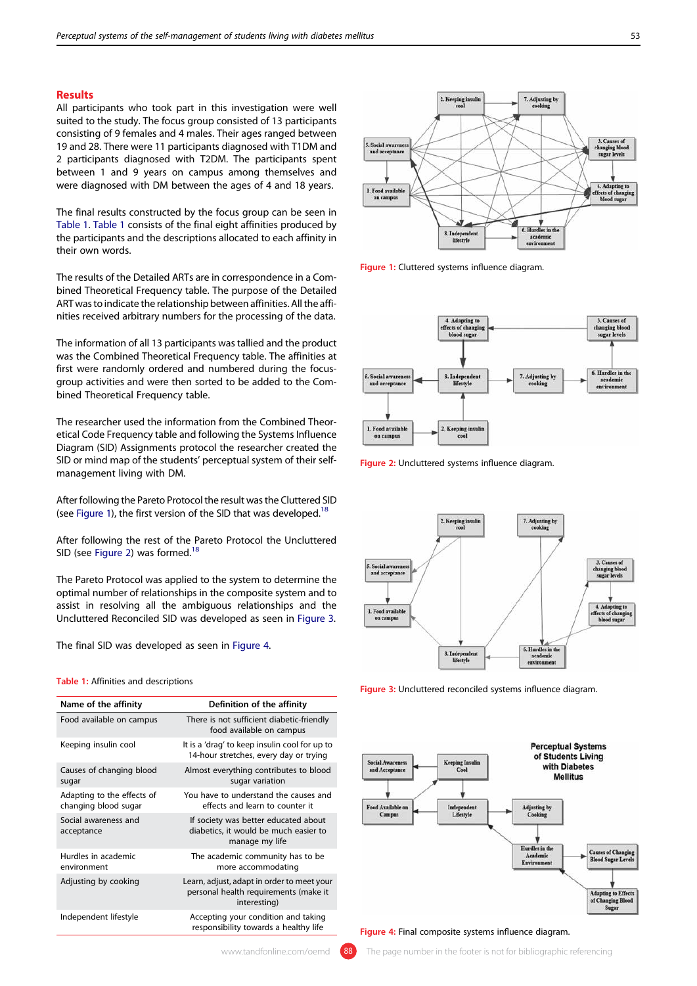## Results

All participants who took part in this investigation were well suited to the study. The focus group consisted of 13 participants consisting of 9 females and 4 males. Their ages ranged between 19 and 28. There were 11 participants diagnosed with T1DM and 2 participants diagnosed with T2DM. The participants spent between 1 and 9 years on campus among themselves and were diagnosed with DM between the ages of 4 and 18 years.

The final results constructed by the focus group can be seen in Table 1. Table 1 consists of the final eight affinities produced by the participants and the descriptions allocated to each affinity in their own words.

The results of the Detailed ARTs are in correspondence in a Combined Theoretical Frequency table. The purpose of the Detailed ART was to indicate the relationship between affinities. All the affinities received arbitrary numbers for the processing of the data.

The information of all 13 participants was tallied and the product was the Combined Theoretical Frequency table. The affinities at first were randomly ordered and numbered during the focusgroup activities and were then sorted to be added to the Combined Theoretical Frequency table.

The researcher used the information from the Combined Theoretical Code Frequency table and following the Systems Influence Diagram (SID) Assignments protocol the researcher created the SID or mind map of the students' perceptual system of their selfmanagement living with DM.

After following the Pareto Protocol the result was the Cluttered SID (see Figure 1), the first version of the SID that was developed.<sup>18</sup>

After following the rest of the Pareto Protocol the Uncluttered SID (see Figure 2) was formed.<sup>18</sup>

The Pareto Protocol was applied to the system to determine the optimal number of relationships in the composite system and to assist in resolving all the ambiguous relationships and the Uncluttered Reconciled SID was developed as seen in Figure 3.

The final SID was developed as seen in Figure 4.

#### Table 1: Affinities and descriptions

| Name of the affinity                               | Definition of the affinity                                                                          |
|----------------------------------------------------|-----------------------------------------------------------------------------------------------------|
| Food available on campus                           | There is not sufficient diabetic-friendly<br>food available on campus                               |
| Keeping insulin cool                               | It is a 'drag' to keep insulin cool for up to<br>14-hour stretches, every day or trying             |
| Causes of changing blood<br>sugar                  | Almost everything contributes to blood<br>sugar variation                                           |
| Adapting to the effects of<br>changing blood sugar | You have to understand the causes and<br>effects and learn to counter it                            |
| Social awareness and<br>acceptance                 | If society was better educated about<br>diabetics, it would be much easier to<br>manage my life     |
| Hurdles in academic<br>environment                 | The academic community has to be<br>more accommodating                                              |
| Adjusting by cooking                               | Learn, adjust, adapt in order to meet your<br>personal health requirements (make it<br>interesting) |
| Independent lifestyle                              | Accepting your condition and taking<br>responsibility towards a healthy life                        |



Figure 1: Cluttered systems influence diagram.



Figure 2: Uncluttered systems influence diagram.



Figure 3: Uncluttered reconciled systems influence diagram.



#### Figure 4: Final composite systems influence diagram.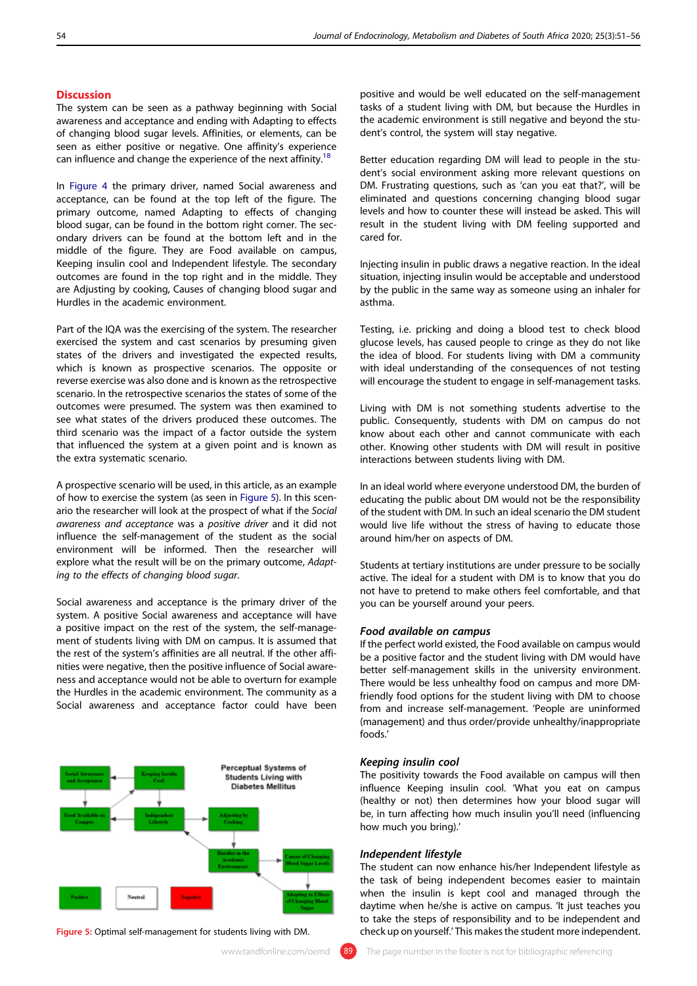# Discussion

The system can be seen as a pathway beginning with Social awareness and acceptance and ending with Adapting to effects of changing blood sugar levels. Affinities, or elements, can be seen as either positive or negative. One affinity's experience can influence and change the experience of the next affinity.<sup>18</sup>

In Figure 4 the primary driver, named Social awareness and acceptance, can be found at the top left of the figure. The primary outcome, named Adapting to effects of changing blood sugar, can be found in the bottom right corner. The secondary drivers can be found at the bottom left and in the middle of the figure. They are Food available on campus, Keeping insulin cool and Independent lifestyle. The secondary outcomes are found in the top right and in the middle. They are Adjusting by cooking, Causes of changing blood sugar and Hurdles in the academic environment.

Part of the IQA was the exercising of the system. The researcher exercised the system and cast scenarios by presuming given states of the drivers and investigated the expected results, which is known as prospective scenarios. The opposite or reverse exercise was also done and is known as the retrospective scenario. In the retrospective scenarios the states of some of the outcomes were presumed. The system was then examined to see what states of the drivers produced these outcomes. The third scenario was the impact of a factor outside the system that influenced the system at a given point and is known as the extra systematic scenario.

A prospective scenario will be used, in this article, as an example of how to exercise the system (as seen in Figure 5). In this scenario the researcher will look at the prospect of what if the Social awareness and acceptance was a positive driver and it did not influence the self-management of the student as the social environment will be informed. Then the researcher will explore what the result will be on the primary outcome, Adapting to the effects of changing blood sugar.

Social awareness and acceptance is the primary driver of the system. A positive Social awareness and acceptance will have a positive impact on the rest of the system, the self-management of students living with DM on campus. It is assumed that the rest of the system's affinities are all neutral. If the other affinities were negative, then the positive influence of Social awareness and acceptance would not be able to overturn for example the Hurdles in the academic environment. The community as a Social awareness and acceptance factor could have been



positive and would be well educated on the self-management tasks of a student living with DM, but because the Hurdles in the academic environment is still negative and beyond the student's control, the system will stay negative.

Better education regarding DM will lead to people in the student's social environment asking more relevant questions on DM. Frustrating questions, such as 'can you eat that?', will be eliminated and questions concerning changing blood sugar levels and how to counter these will instead be asked. This will result in the student living with DM feeling supported and cared for.

Injecting insulin in public draws a negative reaction. In the ideal situation, injecting insulin would be acceptable and understood by the public in the same way as someone using an inhaler for asthma.

Testing, i.e. pricking and doing a blood test to check blood glucose levels, has caused people to cringe as they do not like the idea of blood. For students living with DM a community with ideal understanding of the consequences of not testing will encourage the student to engage in self-management tasks.

Living with DM is not something students advertise to the public. Consequently, students with DM on campus do not know about each other and cannot communicate with each other. Knowing other students with DM will result in positive interactions between students living with DM.

In an ideal world where everyone understood DM, the burden of educating the public about DM would not be the responsibility of the student with DM. In such an ideal scenario the DM student would live life without the stress of having to educate those around him/her on aspects of DM.

Students at tertiary institutions are under pressure to be socially active. The ideal for a student with DM is to know that you do not have to pretend to make others feel comfortable, and that you can be yourself around your peers.

#### Food available on campus

If the perfect world existed, the Food available on campus would be a positive factor and the student living with DM would have better self-management skills in the university environment. There would be less unhealthy food on campus and more DMfriendly food options for the student living with DM to choose from and increase self-management. 'People are uninformed (management) and thus order/provide unhealthy/inappropriate foods.'

## Keeping insulin cool

The positivity towards the Food available on campus will then influence Keeping insulin cool. 'What you eat on campus (healthy or not) then determines how your blood sugar will be, in turn affecting how much insulin you'll need (influencing how much you bring).'

## Independent lifestyle

The student can now enhance his/her Independent lifestyle as the task of being independent becomes easier to maintain when the insulin is kept cool and managed through the daytime when he/she is active on campus. 'It just teaches you to take the steps of responsibility and to be independent and Figure 5: Optimal self-management for students living with DM. check up on yourself.' This makes the student more independent.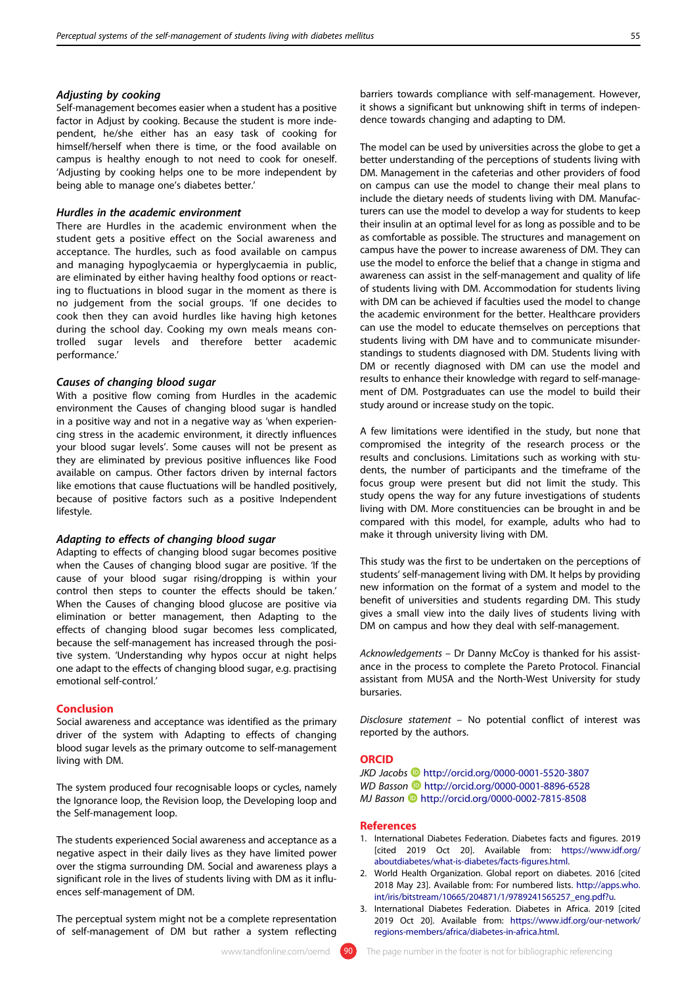# Adjusting by cooking

Self-management becomes easier when a student has a positive factor in Adjust by cooking. Because the student is more independent, he/she either has an easy task of cooking for himself/herself when there is time, or the food available on campus is healthy enough to not need to cook for oneself. 'Adjusting by cooking helps one to be more independent by being able to manage one's diabetes better.'

## Hurdles in the academic environment

There are Hurdles in the academic environment when the student gets a positive effect on the Social awareness and acceptance. The hurdles, such as food available on campus and managing hypoglycaemia or hyperglycaemia in public, are eliminated by either having healthy food options or reacting to fluctuations in blood sugar in the moment as there is no judgement from the social groups. 'If one decides to cook then they can avoid hurdles like having high ketones during the school day. Cooking my own meals means controlled sugar levels and therefore better academic performance.'

## Causes of changing blood sugar

With a positive flow coming from Hurdles in the academic environment the Causes of changing blood sugar is handled in a positive way and not in a negative way as 'when experiencing stress in the academic environment, it directly influences your blood sugar levels'. Some causes will not be present as they are eliminated by previous positive influences like Food available on campus. Other factors driven by internal factors like emotions that cause fluctuations will be handled positively, because of positive factors such as a positive Independent lifestyle.

## Adapting to effects of changing blood sugar

Adapting to effects of changing blood sugar becomes positive when the Causes of changing blood sugar are positive. 'If the cause of your blood sugar rising/dropping is within your control then steps to counter the effects should be taken.' When the Causes of changing blood glucose are positive via elimination or better management, then Adapting to the effects of changing blood sugar becomes less complicated, because the self-management has increased through the positive system. 'Understanding why hypos occur at night helps one adapt to the effects of changing blood sugar, e.g. practising emotional self-control.'

## Conclusion

Social awareness and acceptance was identified as the primary driver of the system with Adapting to effects of changing blood sugar levels as the primary outcome to self-management living with DM.

The system produced four recognisable loops or cycles, namely the Ignorance loop, the Revision loop, the Developing loop and the Self-management loop.

The students experienced Social awareness and acceptance as a negative aspect in their daily lives as they have limited power over the stigma surrounding DM. Social and awareness plays a significant role in the lives of students living with DM as it influences self-management of DM.

The perceptual system might not be a complete representation of self-management of DM but rather a system reflecting

The model can be used by universities across the globe to get a better understanding of the perceptions of students living with DM. Management in the cafeterias and other providers of food on campus can use the model to change their meal plans to include the dietary needs of students living with DM. Manufacturers can use the model to develop a way for students to keep their insulin at an optimal level for as long as possible and to be as comfortable as possible. The structures and management on campus have the power to increase awareness of DM. They can use the model to enforce the belief that a change in stigma and awareness can assist in the self-management and quality of life of students living with DM. Accommodation for students living with DM can be achieved if faculties used the model to change the academic environment for the better. Healthcare providers can use the model to educate themselves on perceptions that students living with DM have and to communicate misunderstandings to students diagnosed with DM. Students living with DM or recently diagnosed with DM can use the model and results to enhance their knowledge with regard to self-management of DM. Postgraduates can use the model to build their study around or increase study on the topic.

A few limitations were identified in the study, but none that compromised the integrity of the research process or the results and conclusions. Limitations such as working with students, the number of participants and the timeframe of the focus group were present but did not limit the study. This study opens the way for any future investigations of students living with DM. More constituencies can be brought in and be compared with this model, for example, adults who had to make it through university living with DM.

This study was the first to be undertaken on the perceptions of students' self-management living with DM. It helps by providing new information on the format of a system and model to the benefit of universities and students regarding DM. This study gives a small view into the daily lives of students living with DM on campus and how they deal with self-management.

Acknowledgements – Dr Danny McCoy is thanked for his assistance in the process to complete the Pareto Protocol. Financial assistant from MUSA and the North-West University for study bursaries.

Disclosure statement – No potential conflict of interest was reported by the authors.

## **ORCID**

JKD Jacobs http://orcid.org/0000-0001-5520-3807 WD Basson **http://orcid.org/0000-0001-8896-6528** MJ Basson **http://orcid.org/0000-0002-7815-8508** 

## References

- 1. International Diabetes Federation. Diabetes facts and figures. 2019 [cited 2019 Oct 20]. Available from: https://www.idf.org/ aboutdiabetes/what-is-diabetes/facts-figures.html.
- 2. World Health Organization. Global report on diabetes. 2016 [cited 2018 May 23]. Available from: For numbered lists. http://apps.who. int/iris/bitstream/10665/204871/1/9789241565257\_eng.pdf?u.
- 3. International Diabetes Federation. Diabetes in Africa. 2019 [cited 2019 Oct 20]. Available from: https://www.idf.org/our-network/ regions-members/africa/diabetes-in-africa.html.